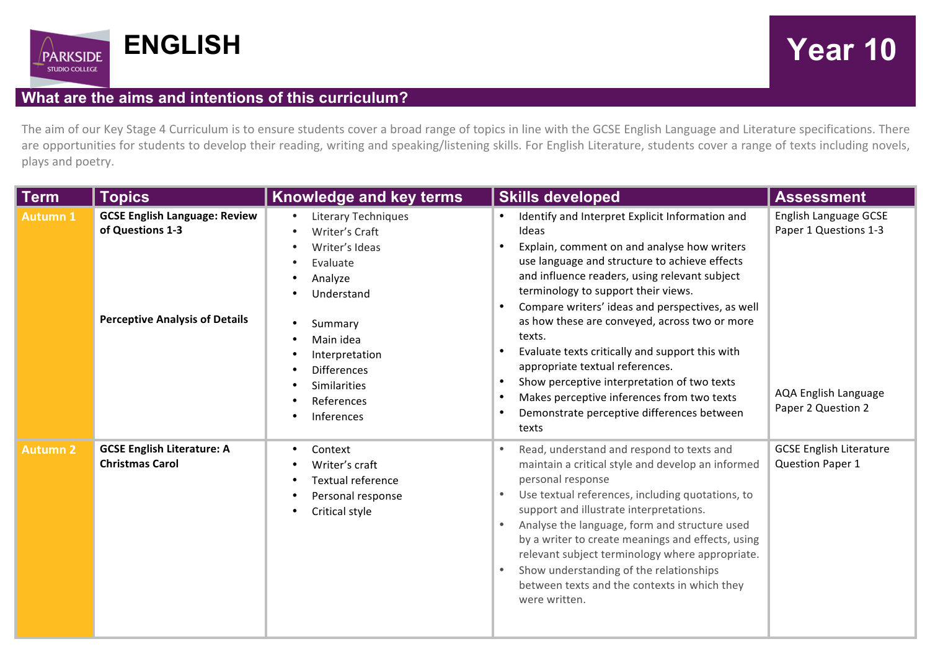

## **What are the aims and intentions of this curriculum?**

The aim of our Key Stage 4 Curriculum is to ensure students cover a broad range of topics in line with the GCSE English Language and Literature specifications. There are opportunities for students to develop their reading, writing and speaking/listening skills. For English Literature, students cover a range of texts including novels, plays and poetry.

| Term            | <b>Topics</b>                                                                                     | Knowledge and key terms                                                                                                                                                                                         | <b>Skills developed</b>                                                                                                                                                                                                                                                                                                                                                                                                                                                                                                                                                                                                                                                                 | <b>Assessment</b>                                                                                   |
|-----------------|---------------------------------------------------------------------------------------------------|-----------------------------------------------------------------------------------------------------------------------------------------------------------------------------------------------------------------|-----------------------------------------------------------------------------------------------------------------------------------------------------------------------------------------------------------------------------------------------------------------------------------------------------------------------------------------------------------------------------------------------------------------------------------------------------------------------------------------------------------------------------------------------------------------------------------------------------------------------------------------------------------------------------------------|-----------------------------------------------------------------------------------------------------|
| <b>Autumn 1</b> | <b>GCSE English Language: Review</b><br>of Questions 1-3<br><b>Perceptive Analysis of Details</b> | <b>Literary Techniques</b><br>Writer's Craft<br>Writer's Ideas<br>Evaluate<br>Analyze<br>Understand<br>Summary<br>Main idea<br>Interpretation<br><b>Differences</b><br>Similarities<br>References<br>Inferences | Identify and Interpret Explicit Information and<br>Ideas<br>Explain, comment on and analyse how writers<br>$\bullet$<br>use language and structure to achieve effects<br>and influence readers, using relevant subject<br>terminology to support their views.<br>Compare writers' ideas and perspectives, as well<br>$\bullet$<br>as how these are conveyed, across two or more<br>texts.<br>Evaluate texts critically and support this with<br>$\bullet$<br>appropriate textual references.<br>Show perceptive interpretation of two texts<br>$\bullet$<br>Makes perceptive inferences from two texts<br>$\bullet$<br>Demonstrate perceptive differences between<br>$\bullet$<br>texts | English Language GCSE<br>Paper 1 Questions 1-3<br><b>AQA English Language</b><br>Paper 2 Question 2 |
| <b>Autumn 2</b> | <b>GCSE English Literature: A</b><br><b>Christmas Carol</b>                                       | Context<br>$\bullet$<br>Writer's craft<br>Textual reference<br>Personal response<br>Critical style<br>$\bullet$                                                                                                 | Read, understand and respond to texts and<br>maintain a critical style and develop an informed<br>personal response<br>Use textual references, including quotations, to<br>$\bullet$<br>support and illustrate interpretations.<br>Analyse the language, form and structure used<br>$\bullet$<br>by a writer to create meanings and effects, using<br>relevant subject terminology where appropriate.<br>Show understanding of the relationships<br>$\bullet$<br>between texts and the contexts in which they<br>were written.                                                                                                                                                          | <b>GCSE English Literature</b><br><b>Question Paper 1</b>                                           |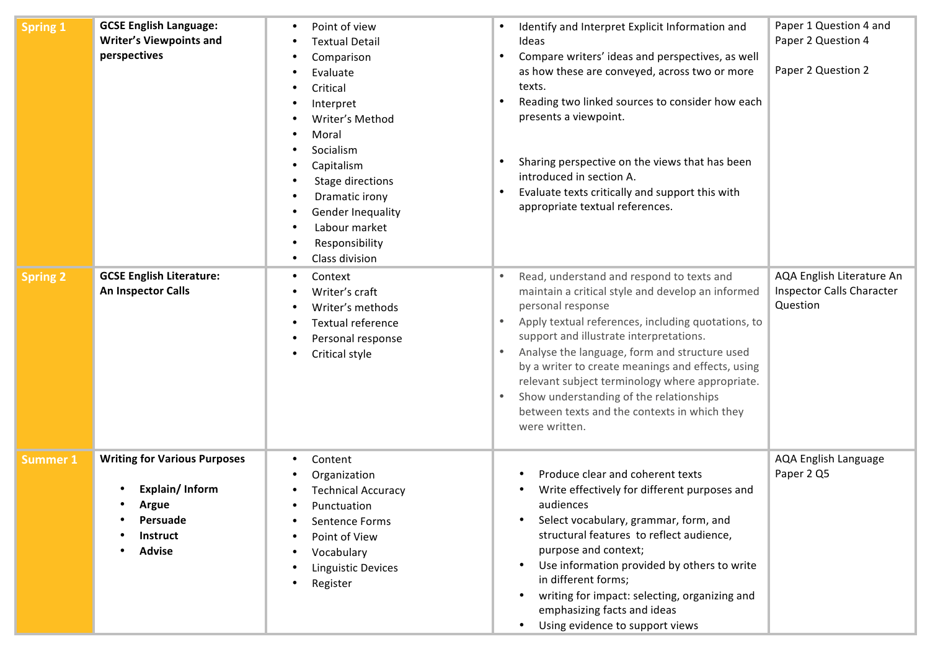| <b>Spring 1</b> | <b>GCSE English Language:</b><br><b>Writer's Viewpoints and</b><br>perspectives                                       | Point of view<br><b>Textual Detail</b><br>Comparison<br>Evaluate<br>Critical<br>Interpret<br>Writer's Method<br>Moral<br>Socialism<br>Capitalism<br>Stage directions<br>Dramatic irony<br>Gender Inequality<br>Labour market<br>Responsibility<br>Class division | Identify and Interpret Explicit Information and<br>Ideas<br>Compare writers' ideas and perspectives, as well<br>$\bullet$<br>as how these are conveyed, across two or more<br>texts.<br>Reading two linked sources to consider how each<br>presents a viewpoint.<br>Sharing perspective on the views that has been<br>introduced in section A.<br>Evaluate texts critically and support this with<br>appropriate textual references.                                                                                                          | Paper 1 Question 4 and<br>Paper 2 Question 4<br>Paper 2 Question 2        |
|-----------------|-----------------------------------------------------------------------------------------------------------------------|------------------------------------------------------------------------------------------------------------------------------------------------------------------------------------------------------------------------------------------------------------------|-----------------------------------------------------------------------------------------------------------------------------------------------------------------------------------------------------------------------------------------------------------------------------------------------------------------------------------------------------------------------------------------------------------------------------------------------------------------------------------------------------------------------------------------------|---------------------------------------------------------------------------|
| <b>Spring 2</b> | <b>GCSE English Literature:</b><br>An Inspector Calls                                                                 | Context<br>Writer's craft<br>Writer's methods<br>Textual reference<br>Personal response<br>Critical style                                                                                                                                                        | Read, understand and respond to texts and<br>$\bullet$<br>maintain a critical style and develop an informed<br>personal response<br>Apply textual references, including quotations, to<br>$\bullet$<br>support and illustrate interpretations.<br>Analyse the language, form and structure used<br>$\bullet$<br>by a writer to create meanings and effects, using<br>relevant subject terminology where appropriate.<br>Show understanding of the relationships<br>$\bullet$<br>between texts and the contexts in which they<br>were written. | AQA English Literature An<br><b>Inspector Calls Character</b><br>Question |
| <b>Summer 1</b> | <b>Writing for Various Purposes</b><br>Explain/Inform<br><b>Argue</b><br>Persuade<br><b>Instruct</b><br><b>Advise</b> | Content<br>٠<br>Organization<br><b>Technical Accuracy</b><br>Punctuation<br>Sentence Forms<br>Point of View<br>Vocabulary<br><b>Linguistic Devices</b><br>Register                                                                                               | Produce clear and coherent texts<br>Write effectively for different purposes and<br>audiences<br>Select vocabulary, grammar, form, and<br>structural features to reflect audience,<br>purpose and context;<br>Use information provided by others to write<br>in different forms;<br>writing for impact: selecting, organizing and<br>emphasizing facts and ideas<br>Using evidence to support views                                                                                                                                           | AQA English Language<br>Paper 2 Q5                                        |